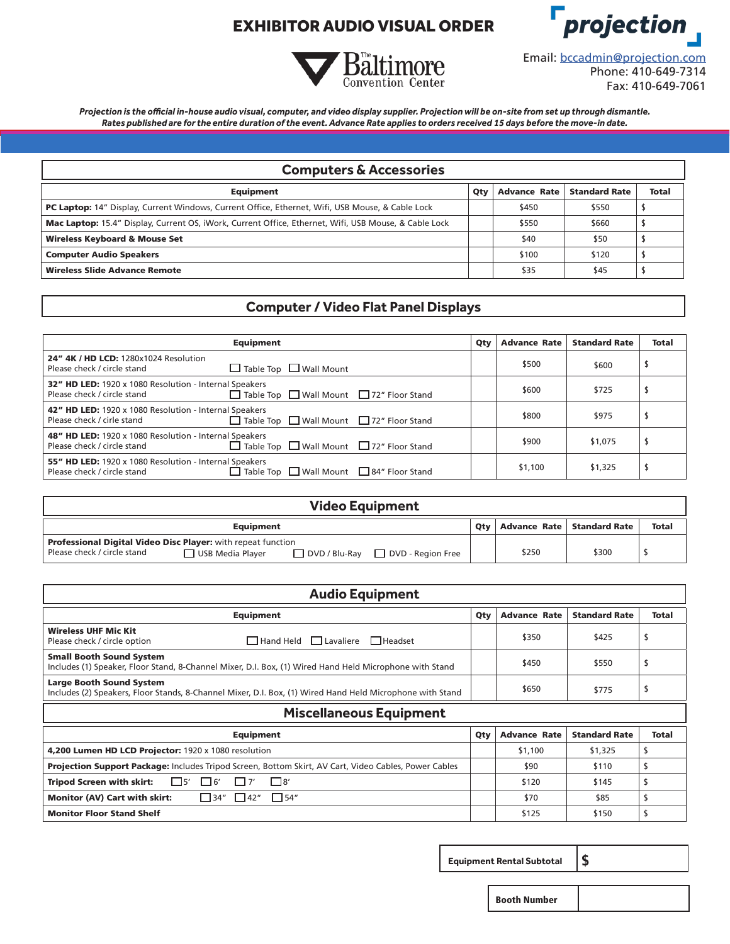# EXHIBITOR AUDIO VISUAL ORDER



**F**projection Email: bccadmin@projection.com Phone: 410-649-7314 Fax: 410-649-7061

*Projection is the official in-house audio visual, computer, and video display supplier. Projection will be on-site from set up through dismantle. Rates published are for the entire duration of the event. Advance Rate applies to orders received 15 days before the move-in date.*

| <b>Computers &amp; Accessories</b>                                                                           |     |                     |                      |              |  |  |
|--------------------------------------------------------------------------------------------------------------|-----|---------------------|----------------------|--------------|--|--|
| <b>Equipment</b>                                                                                             | Qty | <b>Advance Rate</b> | <b>Standard Rate</b> | <b>Total</b> |  |  |
| PC Laptop: 14" Display, Current Windows, Current Office, Ethernet, Wifi, USB Mouse, & Cable Lock             |     | \$450               | \$550                |              |  |  |
| <b>Mac Laptop:</b> 15.4" Display, Current OS, iWork, Current Office, Ethernet, Wifi, USB Mouse, & Cable Lock |     | \$550               | \$660                |              |  |  |
| <b>Wireless Keyboard &amp; Mouse Set</b>                                                                     |     | \$40                | \$50                 |              |  |  |
| <b>Computer Audio Speakers</b>                                                                               |     | \$100               | \$120                |              |  |  |
| Wireless Slide Advance Remote                                                                                |     | \$35                | \$45                 |              |  |  |

# **Computer / Video Flat Panel Displays**

| Equipment                                                                                                                                          | Qty | <b>Advance Rate</b> | <b>Standard Rate</b> | <b>Total</b> |
|----------------------------------------------------------------------------------------------------------------------------------------------------|-----|---------------------|----------------------|--------------|
| <b>24" 4K / HD LCD:</b> 1280x1024 Resolution<br>$\Box$ Table Top $\Box$ Wall Mount<br>Please check / circle stand                                  |     | \$500               | \$600                |              |
| 32" HD LED: 1920 x 1080 Resolution - Internal Speakers<br>□ Table Top □ Wall Mount □ 72" Floor Stand<br>Please check / circle stand                |     | \$600               | \$725                |              |
| 42" HD LED: 1920 x 1080 Resolution - Internal Speakers<br>□ Table Top □ Wall Mount □ 72" Floor Stand<br>Please check / cirle stand                 |     | \$800               | \$975                |              |
| 48" HD LED: 1920 x 1080 Resolution - Internal Speakers<br>$\Box$ Table Top $\Box$ Wall Mount $\Box$ 72" Floor Stand<br>Please check / circle stand |     | \$900               | \$1,075              |              |
| 55" HD LED: 1920 x 1080 Resolution - Internal Speakers<br>□ Table Top □ Wall Mount □ 84" Floor Stand<br>Please check / circle stand                |     | \$1,100             | \$1,325              |              |

| <b>Video Equipment</b>                                              |                         |  |                                               |  |                              |       |              |
|---------------------------------------------------------------------|-------------------------|--|-----------------------------------------------|--|------------------------------|-------|--------------|
| <b>Equipment</b>                                                    |                         |  |                                               |  | Advance Rate   Standard Rate |       | <b>Total</b> |
| <b>Professional Digital Video Disc Player:</b> with repeat function |                         |  |                                               |  |                              |       |              |
| Please check / circle stand                                         | $\Box$ USB Media Plaver |  | $\Box$ DVD / Blu-Ray $\Box$ DVD - Region Free |  | \$250                        | \$300 |              |

| <b>Audio Equipment</b>                                                                                                                       |     |                     |                      |              |  |  |  |
|----------------------------------------------------------------------------------------------------------------------------------------------|-----|---------------------|----------------------|--------------|--|--|--|
| <b>Equipment</b>                                                                                                                             | Qty | <b>Advance Rate</b> | <b>Standard Rate</b> | <b>Total</b> |  |  |  |
| <b>Wireless UHF Mic Kit</b><br>$\Box$ Hand Held $\Box$ Lavaliere $\Box$ Headset<br>Please check / circle option                              |     | \$350               | \$425                | \$           |  |  |  |
| <b>Small Booth Sound System</b><br>Includes (1) Speaker, Floor Stand, 8-Channel Mixer, D.I. Box, (1) Wired Hand Held Microphone with Stand   |     | \$450               | \$550                | \$           |  |  |  |
| <b>Large Booth Sound System</b><br>Includes (2) Speakers, Floor Stands, 8-Channel Mixer, D.I. Box, (1) Wired Hand Held Microphone with Stand |     | \$650               | \$775                | \$           |  |  |  |
| <b>Miscellaneous Equipment</b>                                                                                                               |     |                     |                      |              |  |  |  |
| <b>Advance Rate</b><br><b>Standard Rate</b><br><b>Equipment</b><br>Qty                                                                       |     |                     |                      |              |  |  |  |
| 4,200 Lumen HD LCD Projector: 1920 x 1080 resolution                                                                                         |     | \$1,100             | \$1,325              | S            |  |  |  |
| Projection Support Package: Includes Tripod Screen, Bottom Skirt, AV Cart, Video Cables, Power Cables                                        |     | \$90                | \$110                |              |  |  |  |
|                                                                                                                                              |     |                     |                      |              |  |  |  |
| $\Box$ 8'<br>$\square$ 5'<br>$\Box$ 6'<br><b>Tripod Screen with skirt:</b>                                                                   |     | \$120               | \$145                | S            |  |  |  |
| $\Box$ 54"<br>$\Box$ 34" $\Box$ 42"<br><b>Monitor (AV) Cart with skirt:</b>                                                                  |     | \$70                | \$85                 | S            |  |  |  |

 **Equipment Rental Subtotal** \$

Booth Number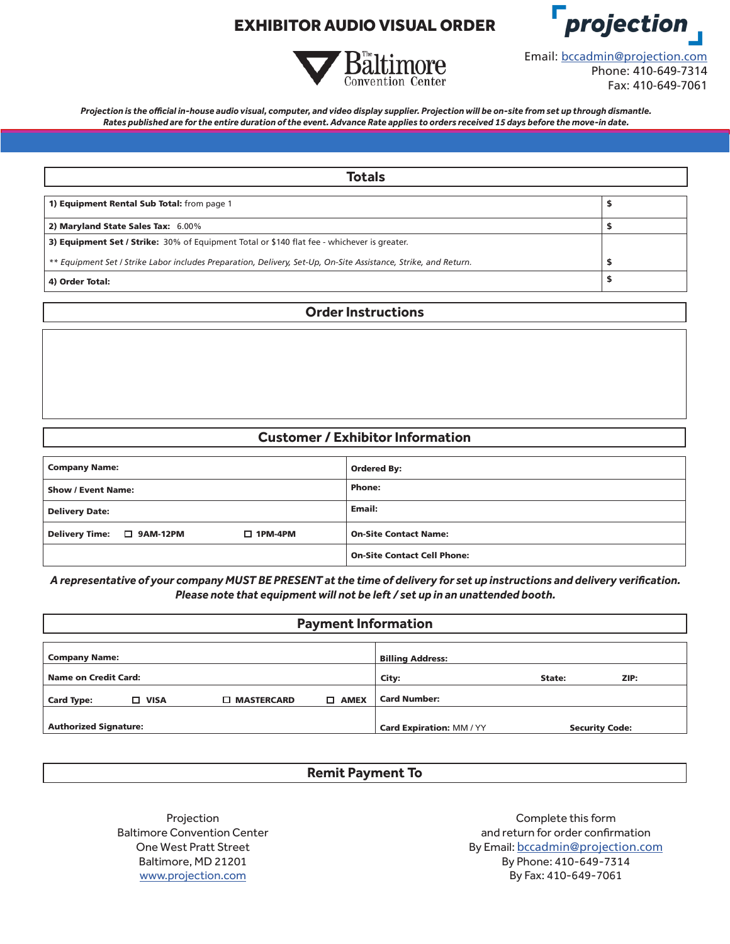# EXHIBITOR AUDIO VISUAL ORDER **Formation**



Email: bccadmin@projection.com Phone: 410-649-7314 Fax: 410-649-7061

*Projection is the official in-house audio visual, computer, and video display supplier. Projection will be on-site from set up through dismantle. Rates published are for the entire duration of the event. Advance Rate applies to orders received 15 days before the move-in date.*

| <b>Totals</b>                                                                                                   |  |  |  |  |  |
|-----------------------------------------------------------------------------------------------------------------|--|--|--|--|--|
|                                                                                                                 |  |  |  |  |  |
| 1) Equipment Rental Sub Total: from page 1                                                                      |  |  |  |  |  |
| 2) Maryland State Sales Tax: 6.00%                                                                              |  |  |  |  |  |
| 3) Equipment Set / Strike: 30% of Equipment Total or \$140 flat fee - whichever is greater.                     |  |  |  |  |  |
| ** Equipment Set / Strike Labor includes Preparation, Delivery, Set-Up, On-Site Assistance, Strike, and Return. |  |  |  |  |  |
| 4) Order Total:                                                                                                 |  |  |  |  |  |

#### **Order Instructions**

#### **Customer / Exhibitor Information**

| <b>Company Name:</b><br><b>Ordered By:</b>  |                                    |
|---------------------------------------------|------------------------------------|
| <b>Show / Event Name:</b>                   | <b>Phone:</b>                      |
| <b>Delivery Date:</b>                       | Email:                             |
| Delivery Time: □ 9AM-12PM<br>$\Box$ 1PM-4PM | <b>On-Site Contact Name:</b>       |
|                                             | <b>On-Site Contact Cell Phone:</b> |

*A representative of your company MUST BE PRESENT at the time of delivery for set up instructions and delivery verification. Please note that equipment will not be left / set up in an unattended booth.*

| <b>Payment Information</b>   |             |                     |                               |                         |                       |  |  |
|------------------------------|-------------|---------------------|-------------------------------|-------------------------|-----------------------|--|--|
|                              |             |                     |                               |                         |                       |  |  |
| <b>Company Name:</b>         |             |                     |                               | <b>Billing Address:</b> |                       |  |  |
| <b>Name on Credit Card:</b>  |             | City:               | State:                        | ZIP:                    |                       |  |  |
| <b>Card Type:</b>            | $\Box$ VISA | <b>D MASTERCARD</b> | <b>AMEX</b>                   | <b>Card Number:</b>     |                       |  |  |
| <b>Authorized Signature:</b> |             |                     | <b>Card Expiration: MM/YY</b> |                         | <b>Security Code:</b> |  |  |

### **Remit Payment To**

Projection Baltimore Convention Center One West Pratt Street Baltimore, MD 21201 www.projection.com

Complete this form and return for order confirmation By Email: bccadmin@projection.com By Phone: 410-649-7314 By Fax: 410-649-7061